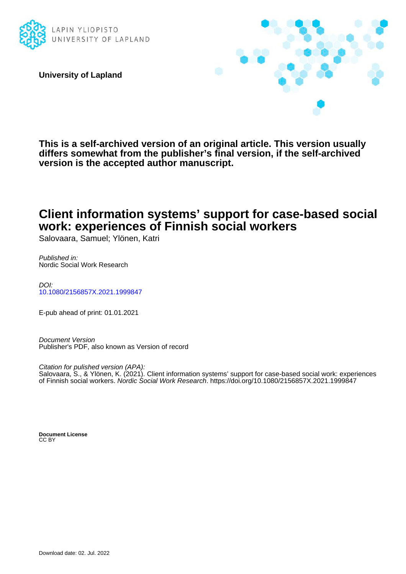

**University of Lapland**



**This is a self-archived version of an original article. This version usually differs somewhat from the publisher's final version, if the self-archived version is the accepted author manuscript.**

# **Client information systems' support for case-based social work: experiences of Finnish social workers**

Salovaara, Samuel; Ylönen, Katri

Published in: Nordic Social Work Research

DOI: [10.1080/2156857X.2021.1999847](https://doi.org/10.1080/2156857X.2021.1999847)

E-pub ahead of print: 01.01.2021

Document Version Publisher's PDF, also known as Version of record

Citation for pulished version (APA): Salovaara, S., & Ylönen, K. (2021). Client information systems' support for case-based social work: experiences of Finnish social workers. Nordic Social Work Research.<https://doi.org/10.1080/2156857X.2021.1999847>

**Document License** CC BY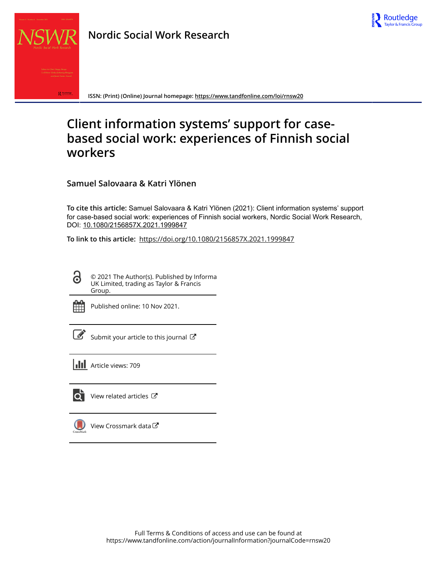



**Nordic Social Work Research**

**ISSN: (Print) (Online) Journal homepage:<https://www.tandfonline.com/loi/rnsw20>**

# **Client information systems' support for casebased social work: experiences of Finnish social workers**

**Samuel Salovaara & Katri Ylönen**

**To cite this article:** Samuel Salovaara & Katri Ylönen (2021): Client information systems' support for case-based social work: experiences of Finnish social workers, Nordic Social Work Research, DOI: [10.1080/2156857X.2021.1999847](https://www.tandfonline.com/action/showCitFormats?doi=10.1080/2156857X.2021.1999847)

**To link to this article:** <https://doi.org/10.1080/2156857X.2021.1999847>

© 2021 The Author(s). Published by Informa UK Limited, trading as Taylor & Francis Group.



G

Published online: 10 Nov 2021.

Submit your article to this journal

**III** Article views: 709



[View related articles](https://www.tandfonline.com/doi/mlt/10.1080/2156857X.2021.1999847)  $\mathbb{Z}$ 

[View Crossmark data](http://crossmark.crossref.org/dialog/?doi=10.1080/2156857X.2021.1999847&domain=pdf&date_stamp=2021-11-10)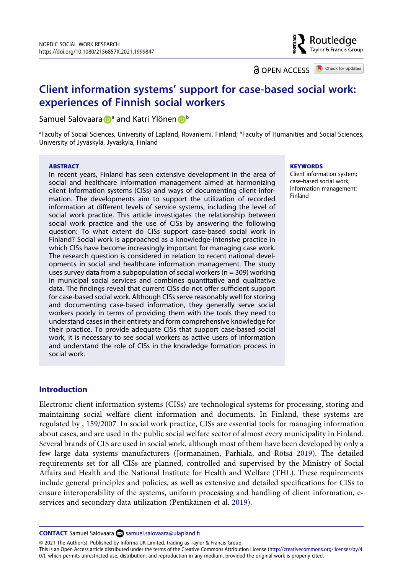Routledge Taylor & Francis Group

**a** OPEN ACCESS **a** Check for updates

# **Client information systems' support for case-based social work: experiences of Finnish social workers**

Samuel Salovaar[a](#page-2-0) **D**<sup>a</sup> a[n](http://orcid.org/0000-0003-4356-5178)d Katri Ylönen D<sup>[b](#page-2-0)</sup>

<span id="page-2-0"></span>a Faculty of Social Sciences, University of Lapland, Rovaniemi, Finland; b Faculty of Humanities and Social Sciences, University of Jyväskylä, Jyväskylä, Finland

#### **ABSTRACT**

In recent years, Finland has seen extensive development in the area of social and healthcare information management aimed at harmonizing client information systems (CISs) and ways of documenting client information. The developments aim to support the utilization of recorded information at different levels of service systems, including the level of social work practice. This article investigates the relationship between social work practice and the use of CISs by answering the following question: To what extent do CISs support case-based social work in Finland? Social work is approached as a knowledge-intensive practice in which CISs have become increasingly important for managing case work. The research question is considered in relation to recent national developments in social and healthcare information management. The study uses survey data from a subpopulation of social workers ( $n = 309$ ) working in municipal social services and combines quantitative and qualitative data. The findings reveal that current CISs do not offer sufficient support for case-based social work. Although CISs serve reasonably well for storing and documenting case-based information, they generally serve social workers poorly in terms of providing them with the tools they need to understand cases in their entirety and form comprehensive knowledge for their practice. To provide adequate CISs that support case-based social work, it is necessary to see social workers as active users of information and understand the role of CISs in the knowledge formation process in social work.

#### **KEYWORDS**

Client information system; case-based social work; information management; Finland

### **Introduction**

<span id="page-2-3"></span><span id="page-2-1"></span>Electronic client information systems (CISs) are technological systems for processing, storing and maintaining social welfare client information and documents. In Finland, these systems are regulated by , [159/2007](#page-15-0). In social work practice, CISs are essential tools for managing information about cases, and are used in the public social welfare sector of almost every municipality in Finland. Several brands of CIS are used in social work, although most of them have been developed by only a few large data systems manufacturers (Jormanainen, Parhiala, and Rötsä [2019](#page-14-0)). The detailed requirements set for all CISs are planned, controlled and supervised by the Ministry of Social Affairs and Health and the National Institute for Health and Welfare (THL). These requirements include general principles and policies, as well as extensive and detailed specifications for CISs to ensure interoperability of the systems, uniform processing and handling of client information, eservices and secondary data utilization (Pentikäinen et al. [2019](#page-14-1)).

<span id="page-2-2"></span>**CONTACT** Samuel Salovaara ⊠ samuel.salovaara@ulapland.fi

© 2021 The Author(s). Published by Informa UK Limited, trading as Taylor & Francis Group.

This is an Open Access article distributed under the terms of the Creative Commons Attribution License (http://creativecommons.org/licenses/by/4. 0/), which permits unrestricted use, distribution, and reproduction in any medium, provided the original work is properly cited.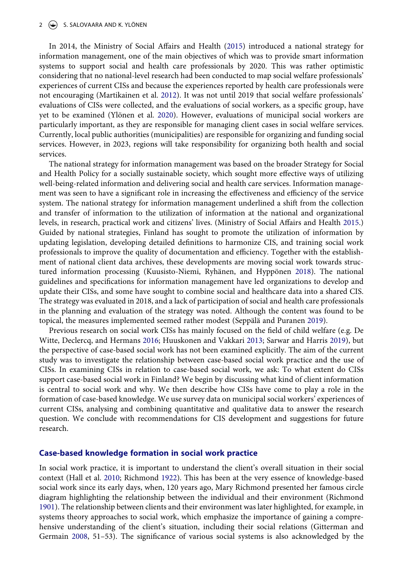#### $2 \quad (*)$  S. SALOVAARA AND K. YLÖNEN

<span id="page-3-4"></span>In 2014, the Ministry of Social Affairs and Health ([2015](#page-14-2)) introduced a national strategy for information management, one of the main objectives of which was to provide smart information systems to support social and health care professionals by 2020. This was rather optimistic considering that no national-level research had been conducted to map social welfare professionals' experiences of current CISs and because the experiences reported by health care professionals were not encouraging (Martikainen et al. [2012](#page-14-3)). It was not until 2019 that social welfare professionals' evaluations of CISs were collected, and the evaluations of social workers, as a specific group, have yet to be examined (Ylönen et al. [2020](#page-15-1)). However, evaluations of municipal social workers are particularly important, as they are responsible for managing client cases in social welfare services. Currently, local public authorities (municipalities) are responsible for organizing and funding social services. However, in 2023, regions will take responsibility for organizing both health and social services.

<span id="page-3-8"></span><span id="page-3-5"></span>The national strategy for information management was based on the broader Strategy for Social and Health Policy for a socially sustainable society, which sought more effective ways of utilizing well-being-related information and delivering social and health care services. Information management was seen to have a significant role in increasing the effectiveness and efficiency of the service system. The national strategy for information management underlined a shift from the collection and transfer of information to the utilization of information at the national and organizational levels, in research, practical work and citizens' lives. (Ministry of Social Affairs and Health [2015](#page-14-2).) Guided by national strategies, Finland has sought to promote the utilization of information by updating legislation, developing detailed definitions to harmonize CIS, and training social work professionals to improve the quality of documentation and efficiency. Together with the establishment of national client data archives, these developments are moving social work towards structured information processing (Kuusisto-Niemi, Ryhänen, and Hyppönen [2018\)](#page-14-4). The national guidelines and specifications for information management have led organizations to develop and update their CISs, and some have sought to combine social and healthcare data into a shared CIS. The strategy was evaluated in 2018, and a lack of participation of social and health care professionals in the planning and evaluation of the strategy was noted. Although the content was found to be topical, the measures implemented seemed rather modest (Seppälä and Puranen [2019\)](#page-15-2).

<span id="page-3-7"></span><span id="page-3-3"></span><span id="page-3-0"></span>Previous research on social work CISs has mainly focused on the field of child welfare (e.g. De Witte, Declercq, and Hermans [2016](#page-13-0); Huuskonen and Vakkari [2013;](#page-13-1) Sarwar and Harris [2019](#page-14-5)), but the perspective of case-based social work has not been examined explicitly. The aim of the current study was to investigate the relationship between case-based social work practice and the use of CISs. In examining CISs in relation to case-based social work, we ask: To what extent do CISs support case-based social work in Finland? We begin by discussing what kind of client information is central to social work and why. We then describe how CISs have come to play a role in the formation of case-based knowledge. We use survey data on municipal social workers' experiences of current CISs, analysing and combining quantitative and qualitative data to answer the research question. We conclude with recommendations for CIS development and suggestions for future research.

#### **Case-based knowledge formation in social work practice**

<span id="page-3-6"></span><span id="page-3-2"></span><span id="page-3-1"></span>In social work practice, it is important to understand the client's overall situation in their social context (Hall et al. [2010](#page-13-2); Richmond [1922\)](#page-14-6). This has been at the very essence of knowledge-based social work since its early days, when, 120 years ago, Mary Richmond presented her famous circle diagram highlighting the relationship between the individual and their environment (Richmond [1901](#page-14-7)). The relationship between clients and their environment was later highlighted, for example, in systems theory approaches to social work, which emphasize the importance of gaining a comprehensive understanding of the client's situation, including their social relations (Gitterman and Germain [2008](#page-13-3), 51–53). The significance of various social systems is also acknowledged by the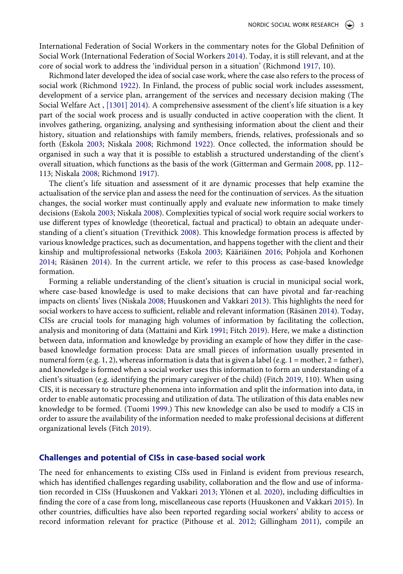<span id="page-4-4"></span>International Federation of Social Workers in the commentary notes for the Global Definition of Social Work (International Federation of Social Workers [2014](#page-13-4)). Today, it is still relevant, and at the core of social work to address the 'individual person in a situation' (Richmond [1917,](#page-14-8) 10).

<span id="page-4-9"></span>Richmond later developed the idea of social case work, where the case also refers to the process of social work (Richmond [1922](#page-14-6)). In Finland, the process of public social work includes assessment, development of a service plan, arrangement of the services and necessary decision making (The Social Welfare Act , [\[1301\] 2014\)](#page-15-3). A comprehensive assessment of the client's life situation is a key part of the social work process and is usually conducted in active cooperation with the client. It involves gathering, organizing, analysing and synthesising information about the client and their history, situation and relationships with family members, friends, relatives, professionals and so forth (Eskola [2003](#page-13-5); Niskala [2008](#page-14-9); Richmond [1922](#page-14-6)). Once collected, the information should be organised in such a way that it is possible to establish a structured understanding of the client's overall situation, which functions as the basis of the work (Gitterman and Germain [2008](#page-13-3), pp. 112– 113; Niskala [2008;](#page-14-9) Richmond [1917](#page-14-8)).

<span id="page-4-10"></span><span id="page-4-8"></span>The client's life situation and assessment of it are dynamic processes that help examine the actualisation of the service plan and assess the need for the continuation of services. As the situation changes, the social worker must continually apply and evaluate new information to make timely decisions (Eskola [2003;](#page-13-5) Niskala [2008](#page-14-9)). Complexities typical of social work require social workers to use different types of knowledge (theoretical, factual and practical) to obtain an adequate understanding of a client's situation (Trevithick [2008](#page-15-4)). This knowledge formation process is affected by various knowledge practices, such as documentation, and happens together with the client and their kinship and multiprofessional networks (Eskola [2003](#page-13-5); Kääriäinen [2016;](#page-14-10) Pohjola and Korhonen [2014](#page-14-11); Räsänen [2014](#page-14-12)). In the current article, we refer to this process as case-based knowledge formation.

<span id="page-4-7"></span><span id="page-4-6"></span><span id="page-4-5"></span><span id="page-4-0"></span>Forming a reliable understanding of the client's situation is crucial in municipal social work, where case-based knowledge is used to make decisions that can have pivotal and far-reaching impacts on clients' lives (Niskala [2008;](#page-14-9) Huuskonen and Vakkari [2013](#page-13-1)). This highlights the need for social workers to have access to sufficient, reliable and relevant information (Räsänen [2014](#page-14-12)). Today, CISs are crucial tools for managing high volumes of information by facilitating the collection, analysis and monitoring of data (Mattaini and Kirk [1991;](#page-14-13) Fitch [2019\)](#page-13-6). Here, we make a distinction between data, information and knowledge by providing an example of how they differ in the casebased knowledge formation process: Data are small pieces of information usually presented in numeral form (e.g. 1, 2), whereas information is data that is given a label (e.g.  $1 = \text{mother}, 2 = \text{father}$ ), and knowledge is formed when a social worker uses this information to form an understanding of a client's situation (e.g. identifying the primary caregiver of the child) (Fitch [2019,](#page-13-6) 110). When using CIS, it is necessary to structure phenomena into information and split the information into data, in order to enable automatic processing and utilization of data. The utilization of this data enables new knowledge to be formed. (Tuomi [1999](#page-15-5).) This new knowledge can also be used to modify a CIS in order to assure the availability of the information needed to make professional decisions at different organizational levels (Fitch [2019](#page-13-6)).

#### <span id="page-4-11"></span><span id="page-4-1"></span>**Challenges and potential of CISs in case-based social work**

<span id="page-4-3"></span><span id="page-4-2"></span>The need for enhancements to existing CISs used in Finland is evident from previous research, which has identified challenges regarding usability, collaboration and the flow and use of information recorded in CISs (Huuskonen and Vakkari [2013](#page-13-1); Ylönen et al. [2020\)](#page-15-1), including difficulties in finding the core of a case from long, miscellaneous case reports (Huuskonen and Vakkari [2015](#page-13-7)). In other countries, difficulties have also been reported regarding social workers' ability to access or record information relevant for practice (Pithouse et al. [2012](#page-14-14); Gillingham [2011\)](#page-13-8), compile an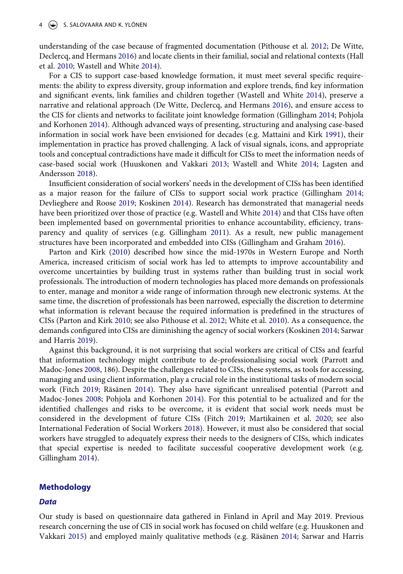understanding of the case because of fragmented documentation (Pithouse et al. [2012](#page-14-14); De Witte, Declercq, and Hermans [2016\)](#page-13-0) and locate clients in their familial, social and relational contexts (Hall et al. [2010](#page-13-2); Wastell and White [2014](#page-15-6)).

For a CIS to support case-based knowledge formation, it must meet several specific requirements: the ability to express diversity, group information and explore trends, find key information and significant events, link families and children together (Wastell and White [2014](#page-15-6)), preserve a narrative and relational approach (De Witte, Declercq, and Hermans [2016\)](#page-13-0), and ensure access to the CIS for clients and networks to facilitate joint knowledge formation (Gillingham [2014;](#page-13-9) Pohjola and Korhonen [2014](#page-14-11)). Although advanced ways of presenting, structuring and analysing case-based information in social work have been envisioned for decades (e.g. Mattaini and Kirk [1991](#page-14-13)), their implementation in practice has proved challenging. A lack of visual signals, icons, and appropriate tools and conceptual contradictions have made it difficult for CISs to meet the information needs of case-based social work (Huuskonen and Vakkari [2013](#page-13-1); Wastell and White [2014;](#page-15-6) Lagsten and Andersson [2018\)](#page-14-15).

<span id="page-5-9"></span><span id="page-5-5"></span><span id="page-5-0"></span>Insufficient consideration of social workers' needs in the development of CISs has been identified as a major reason for the failure of CISs to support social work practice (Gillingham [2014;](#page-13-9) Devlieghere and Roose [2019;](#page-13-10) Koskinen [2014](#page-14-16)). Research has demonstrated that managerial needs have been prioritized over those of practice (e.g. Wastell and White [2014\)](#page-15-6) and that CISs have often been implemented based on governmental priorities to enhance accountability, efficiency, transparency and quality of services (e.g. Gillingham [2011](#page-13-8)). As a result, new public management structures have been incorporated and embedded into CISs (Gillingham and Graham [2016](#page-13-11)).

<span id="page-5-1"></span>Parton and Kirk ([2010](#page-14-17)) described how since the mid-1970s in Western Europe and North America, increased criticism of social work has led to attempts to improve accountability and overcome uncertainties by building trust in systems rather than building trust in social work professionals. The introduction of modern technologies has placed more demands on professionals to enter, manage and monitor a wide range of information through new electronic systems. At the same time, the discretion of professionals has been narrowed, especially the discretion to determine what information is relevant because the required information is predefined in the structures of CISs (Parton and Kirk [2010;](#page-14-17) see also Pithouse et al. [2012](#page-14-14); White et al. [2010](#page-15-7)). As a consequence, the demands configured into CISs are diminishing the agency of social workers (Koskinen [2014](#page-14-16); Sarwar and Harris [2019\)](#page-14-5).

<span id="page-5-8"></span><span id="page-5-7"></span><span id="page-5-6"></span><span id="page-5-4"></span>Against this background, it is not surprising that social workers are critical of CISs and fearful that information technology might contribute to de-professionalising social work (Parrott and Madoc-Jones [2008,](#page-14-18) 186). Despite the challenges related to CISs, these systems, as tools for accessing, managing and using client information, play a crucial role in the institutional tasks of modern social work (Fitch [2019](#page-13-6); Räsänen [2014](#page-14-12)). They also have significant unrealised potential (Parrott and Madoc-Jones [2008;](#page-14-18) Pohjola and Korhonen [2014](#page-14-11)). For this potential to be actualized and for the identified challenges and risks to be overcome, it is evident that social work needs must be considered in the development of future CISs (Fitch [2019](#page-13-6); Martikainen et al. [2020](#page-14-19); see also International Federation of Social Workers [2018\)](#page-14-20). However, it must also be considered that social workers have struggled to adequately express their needs to the designers of CISs, which indicates that special expertise is needed to facilitate successful cooperative development work (e.g. Gillingham [2014\)](#page-13-9).

#### <span id="page-5-3"></span><span id="page-5-2"></span>**Methodology**

#### *Data*

Our study is based on questionnaire data gathered in Finland in April and May 2019. Previous research concerning the use of CIS in social work has focused on child welfare (e.g. Huuskonen and Vakkari [2015\)](#page-13-7) and employed mainly qualitative methods (e.g. Räsänen [2014;](#page-14-12) Sarwar and Harris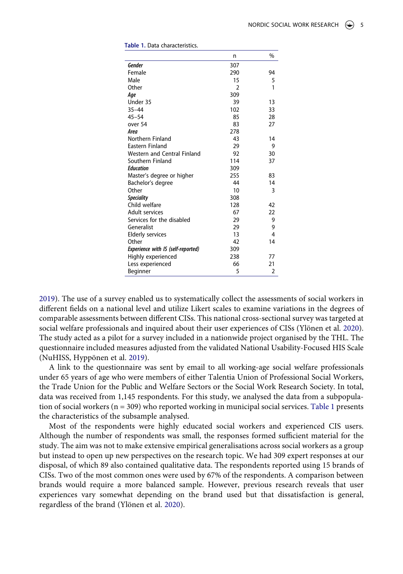|                                           | n              | $\%$ |
|-------------------------------------------|----------------|------|
| Gender                                    | 307            |      |
| Female                                    | 290            | 94   |
| Male                                      | 15             | 5    |
| Other                                     | $\overline{2}$ | 1    |
| Age                                       | 309            |      |
| Under 35                                  | 39             | 13   |
| $35 - 44$                                 | 102            | 33   |
| $45 - 54$                                 | 85             | 28   |
| over 54                                   | 83             | 27   |
| Area                                      | 278            |      |
| Northern Finland                          | 43             | 14   |
| Eastern Finland                           | 29             | 9    |
| <b>Western and Central Finland</b>        | 92             | 30   |
| Southern Finland                          | 114            | 37   |
| <b>Education</b>                          | 309            |      |
| Master's degree or higher                 | 255            | 83   |
| Bachelor's degree                         | 44             | 14   |
| Other                                     | 10             | 3    |
| <b>Speciality</b>                         | 308            |      |
| Child welfare                             | 128            | 42   |
| Adult services                            | 67             | 22   |
| Services for the disabled                 | 29             | 9    |
| Generalist                                | 29             | 9    |
| <b>Elderly services</b>                   | 13             | 4    |
| Other                                     | 42             | 14   |
| <b>Experience with IS (self-reported)</b> | 309            |      |
| Highly experienced                        | 238            | 77   |
| Less experienced                          | 66             | 21   |
| Beginner                                  | 5              | 2    |

<span id="page-6-0"></span>

|  |  |  | Table 1. Data characteristics. |
|--|--|--|--------------------------------|
|--|--|--|--------------------------------|

[2019](#page-14-5)). The use of a survey enabled us to systematically collect the assessments of social workers in different fields on a national level and utilize Likert scales to examine variations in the degrees of comparable assessments between different CISs. This national cross-sectional survey was targeted at social welfare professionals and inquired about their user experiences of CISs (Ylönen et al. [2020](#page-15-1)). The study acted as a pilot for a survey included in a nationwide project organised by the THL. The questionnaire included measures adjusted from the validated National Usability-Focused HIS Scale (NuHISS, Hyppönen et al. [2019\)](#page-13-12).

<span id="page-6-1"></span>A link to the questionnaire was sent by email to all working-age social welfare professionals under 65 years of age who were members of either Talentia Union of Professional Social Workers, the Trade Union for the Public and Welfare Sectors or the Social Work Research Society. In total, data was received from 1,145 respondents. For this study, we analysed the data from a subpopulation of social workers (n = 309) who reported working in municipal social services. [Table 1](#page-6-0) presents the characteristics of the subsample analysed.

Most of the respondents were highly educated social workers and experienced CIS users. Although the number of respondents was small, the responses formed sufficient material for the study. The aim was not to make extensive empirical generalisations across social workers as a group but instead to open up new perspectives on the research topic. We had 309 expert responses at our disposal, of which 89 also contained qualitative data. The respondents reported using 15 brands of CISs. Two of the most common ones were used by 67% of the respondents. A comparison between brands would require a more balanced sample. However, previous research reveals that user experiences vary somewhat depending on the brand used but that dissatisfaction is general, regardless of the brand (Ylönen et al. [2020\)](#page-15-1).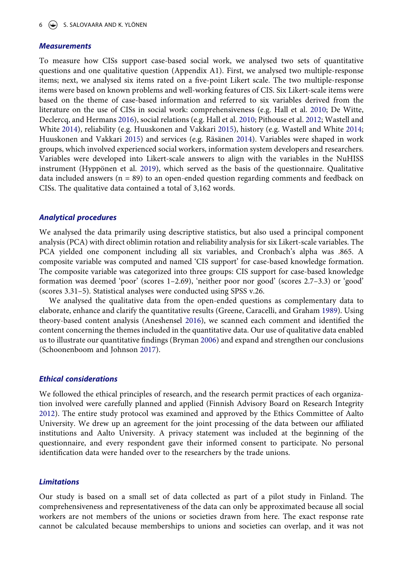#### *Measurements*

To measure how CISs support case-based social work, we analysed two sets of quantitative questions and one qualitative question (Appendix A1). First, we analysed two multiple-response items; next, we analysed six items rated on a five-point Likert scale. The two multiple-response items were based on known problems and well-working features of CIS. Six Likert-scale items were based on the theme of case-based information and referred to six variables derived from the literature on the use of CISs in social work: comprehensiveness (e.g. Hall et al. [2010](#page-13-2); De Witte, Declercq, and Hermans [2016\)](#page-13-0), social relations (e.g. Hall et al. [2010;](#page-13-2) Pithouse et al. [2012](#page-14-14); Wastell and White [2014\)](#page-15-6), reliability (e.g. Huuskonen and Vakkari [2015](#page-13-7)), history (e.g. Wastell and White [2014;](#page-15-6) Huuskonen and Vakkari [2015\)](#page-13-7) and services (e.g. Räsänen [2014\)](#page-14-12). Variables were shaped in work groups, which involved experienced social workers, information system developers and researchers. Variables were developed into Likert-scale answers to align with the variables in the NuHISS instrument (Hyppönen et al. [2019\)](#page-13-12), which served as the basis of the questionnaire. Qualitative data included answers  $(n = 89)$  to an open-ended question regarding comments and feedback on CISs. The qualitative data contained a total of 3,162 words.

#### *Analytical procedures*

We analysed the data primarily using descriptive statistics, but also used a principal component analysis (PCA) with direct oblimin rotation and reliability analysis for six Likert-scale variables. The PCA yielded one component including all six variables, and Cronbach's alpha was .865. A composite variable was computed and named 'CIS support' for case-based knowledge formation. The composite variable was categorized into three groups: CIS support for case-based knowledge formation was deemed 'poor' (scores 1–2.69), 'neither poor nor good' (scores 2.7–3.3) or 'good' (scores 3.31–5). Statistical analyses were conducted using SPSS v.26.

<span id="page-7-3"></span><span id="page-7-1"></span><span id="page-7-0"></span>We analysed the qualitative data from the open-ended questions as complementary data to elaborate, enhance and clarify the quantitative results (Greene, Caracelli, and Graham [1989](#page-13-13)). Using theory-based content analysis (Aneshensel [2016](#page-13-14)), we scanned each comment and identified the content concerning the themes included in the quantitative data. Our use of qualitative data enabled us to illustrate our quantitative findings (Bryman [2006\)](#page-13-15) and expand and strengthen our conclusions (Schoonenboom and Johnson [2017\)](#page-14-21).

#### <span id="page-7-4"></span>*Ethical considerations*

<span id="page-7-2"></span>We followed the ethical principles of research, and the research permit practices of each organization involved were carefully planned and applied (Finnish Advisory Board on Research Integrity [2012](#page-13-16)). The entire study protocol was examined and approved by the Ethics Committee of Aalto University. We drew up an agreement for the joint processing of the data between our affiliated institutions and Aalto University. A privacy statement was included at the beginning of the questionnaire, and every respondent gave their informed consent to participate. No personal identification data were handed over to the researchers by the trade unions.

#### *Limitations*

Our study is based on a small set of data collected as part of a pilot study in Finland. The comprehensiveness and representativeness of the data can only be approximated because all social workers are not members of the unions or societies drawn from here. The exact response rate cannot be calculated because memberships to unions and societies can overlap, and it was not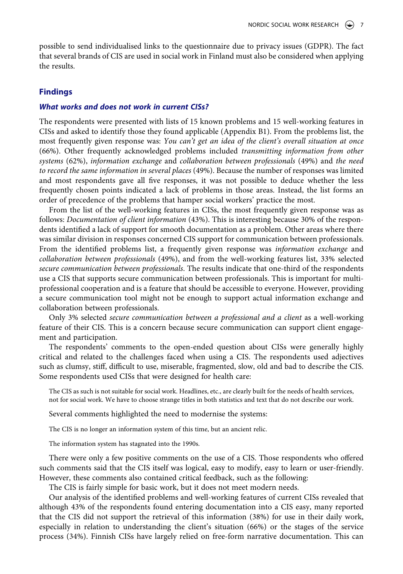possible to send individualised links to the questionnaire due to privacy issues (GDPR). The fact that several brands of CIS are used in social work in Finland must also be considered when applying the results.

#### **Findings**

#### *What works and does not work in current CISs?*

The respondents were presented with lists of 15 known problems and 15 well-working features in CISs and asked to identify those they found applicable (Appendix B1). From the problems list, the most frequently given response was: *You can't get an idea of the client's overall situation at once*  (66%). Other frequently acknowledged problems included *transmitting information from other systems* (62%), *information exchange* and *collaboration between professionals* (49%) and *the need to record the same information in several places* (49%). Because the number of responses was limited and most respondents gave all five responses, it was not possible to deduce whether the less frequently chosen points indicated a lack of problems in those areas. Instead, the list forms an order of precedence of the problems that hamper social workers' practice the most.

From the list of the well-working features in CISs, the most frequently given response was as follows: *Documentation of client information* (43%). This is interesting because 30% of the respondents identified a lack of support for smooth documentation as a problem. Other areas where there was similar division in responses concerned CIS support for communication between professionals. From the identified problems list, a frequently given response was *information exchange* and *collaboration between professionals* (49%), and from the well-working features list, 33% selected *secure communication between professionals*. The results indicate that one-third of the respondents use a CIS that supports secure communication between professionals. This is important for multiprofessional cooperation and is a feature that should be accessible to everyone. However, providing a secure communication tool might not be enough to support actual information exchange and collaboration between professionals.

Only 3% selected *secure communication between a professional and a client* as a well-working feature of their CIS. This is a concern because secure communication can support client engagement and participation.

The respondents' comments to the open-ended question about CISs were generally highly critical and related to the challenges faced when using a CIS. The respondents used adjectives such as clumsy, stiff, difficult to use, miserable, fragmented, slow, old and bad to describe the CIS. Some respondents used CISs that were designed for health care:

The CIS as such is not suitable for social work. Headlines, etc., are clearly built for the needs of health services, not for social work. We have to choose strange titles in both statistics and text that do not describe our work.

Several comments highlighted the need to modernise the systems:

The CIS is no longer an information system of this time, but an ancient relic.

The information system has stagnated into the 1990s.

There were only a few positive comments on the use of a CIS. Those respondents who offered such comments said that the CIS itself was logical, easy to modify, easy to learn or user-friendly. However, these comments also contained critical feedback, such as the following:

The CIS is fairly simple for basic work, but it does not meet modern needs.

Our analysis of the identified problems and well-working features of current CISs revealed that although 43% of the respondents found entering documentation into a CIS easy, many reported that the CIS did not support the retrieval of this information (38%) for use in their daily work, especially in relation to understanding the client's situation (66%) or the stages of the service process (34%). Finnish CISs have largely relied on free-form narrative documentation. This can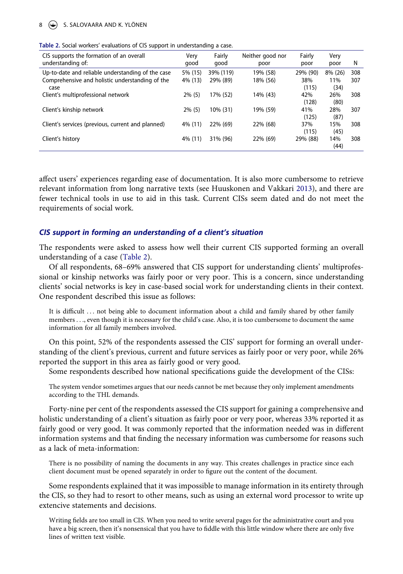#### $8 \quad (*)$  S. SALOVAARA AND K. YLÖNEN

<span id="page-9-0"></span>

| CIS supports the formation of an overall<br>understanding of:                                                | Very<br>good       | Fairly<br>qood        | Neither good nor<br>poor | Fairly<br>poor           | Very<br>poor           | N          |
|--------------------------------------------------------------------------------------------------------------|--------------------|-----------------------|--------------------------|--------------------------|------------------------|------------|
| Up-to-date and reliable understanding of the case<br>Comprehensive and holistic understanding of the<br>case | 5% (15)<br>4% (13) | 39% (119)<br>29% (89) | 19% (58)<br>18% (56)     | 29% (90)<br>38%<br>(115) | 8% (26)<br>11%<br>(34) | 308<br>307 |
| Client's multiprofessional network                                                                           | $2\%$ (5)          | 17% (52)              | 14% (43)                 | 42%<br>(128)             | 26%<br>(80)            | 308        |
| Client's kinship network                                                                                     | $2\%$ (5)          | 10% (31)              | 19% (59)                 | 41%<br>(125)             | 28%<br>(87)            | 307        |
| Client's services (previous, current and planned)                                                            | 4% (11)            | 22% (69)              | 22% (68)                 | 37%<br>(115)             | 15%<br>(45)            | 308        |
| Client's history                                                                                             | 4% (11)            | 31% (96)              | 22% (69)                 | 29% (88)                 | 14%<br>(44)            | 308        |

affect users' experiences regarding ease of documentation. It is also more cumbersome to retrieve relevant information from long narrative texts (see Huuskonen and Vakkari [2013](#page-13-1)), and there are fewer technical tools in use to aid in this task. Current CISs seem dated and do not meet the requirements of social work.

#### *CIS support in forming an understanding of a client's situation*

The respondents were asked to assess how well their current CIS supported forming an overall understanding of a case [\(Table 2](#page-9-0)).

Of all respondents, 68–69% answered that CIS support for understanding clients' multiprofessional or kinship networks was fairly poor or very poor. This is a concern, since understanding clients' social networks is key in case-based social work for understanding clients in their context. One respondent described this issue as follows:

It is difficult . . . not being able to document information about a child and family shared by other family members . . ., even though it is necessary for the child's case. Also, it is too cumbersome to document the same information for all family members involved.

On this point, 52% of the respondents assessed the CIS' support for forming an overall understanding of the client's previous, current and future services as fairly poor or very poor, while 26% reported the support in this area as fairly good or very good.

Some respondents described how national specifications guide the development of the CISs:

The system vendor sometimes argues that our needs cannot be met because they only implement amendments according to the THL demands.

Forty-nine per cent of the respondents assessed the CIS support for gaining a comprehensive and holistic understanding of a client's situation as fairly poor or very poor, whereas 33% reported it as fairly good or very good. It was commonly reported that the information needed was in different information systems and that finding the necessary information was cumbersome for reasons such as a lack of meta-information:

There is no possibility of naming the documents in any way. This creates challenges in practice since each client document must be opened separately in order to figure out the content of the document.

Some respondents explained that it was impossible to manage information in its entirety through the CIS, so they had to resort to other means, such as using an external word processor to write up extencive statements and decisions.

Writing fields are too small in CIS. When you need to write several pages for the administrative court and you have a big screen, then it's nonsensical that you have to fiddle with this little window where there are only five lines of written text visible.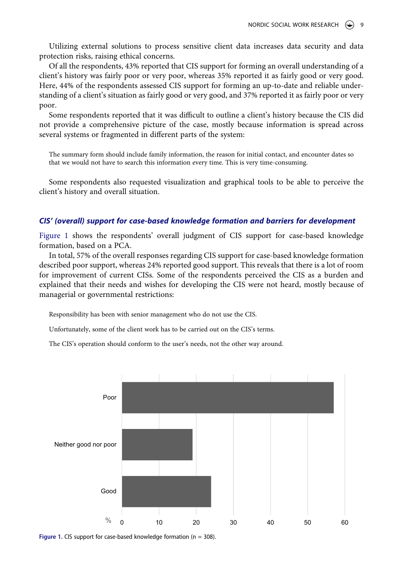Utilizing external solutions to process sensitive client data increases data security and data protection risks, raising ethical concerns.

Of all the respondents, 43% reported that CIS support for forming an overall understanding of a client's history was fairly poor or very poor, whereas 35% reported it as fairly good or very good. Here, 44% of the respondents assessed CIS support for forming an up-to-date and reliable understanding of a client's situation as fairly good or very good, and 37% reported it as fairly poor or very poor.

Some respondents reported that it was difficult to outline a client's history because the CIS did not provide a comprehensive picture of the case, mostly because information is spread across several systems or fragmented in different parts of the system:

The summary form should include family information, the reason for initial contact, and encounter dates so that we would not have to search this information every time. This is very time-consuming.

Some respondents also requested visualization and graphical tools to be able to perceive the client's history and overall situation.

#### *CIS' (overall) support for case-based knowledge formation and barriers for development*

[Figure 1](#page-10-0) shows the respondents' overall judgment of CIS support for case-based knowledge formation, based on a PCA.

In total, 57% of the overall responses regarding CIS support for case-based knowledge formation described poor support, whereas 24% reported good support. This reveals that there is a lot of room for improvement of current CISs. Some of the respondents perceived the CIS as a burden and explained that their needs and wishes for developing the CIS were not heard, mostly because of managerial or governmental restrictions:

Responsibility has been with senior management who do not use the CIS.

Unfortunately, some of the client work has to be carried out on the CIS's terms.

The CIS's operation should conform to the user's needs, not the other way around.

<span id="page-10-0"></span>

Figure 1. CIS support for case-based knowledge formation (n = 308).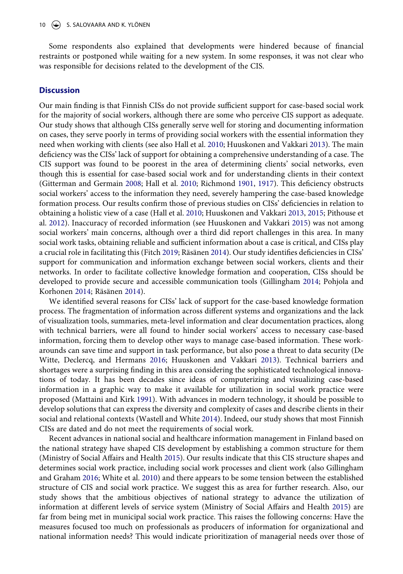Some respondents also explained that developments were hindered because of financial restraints or postponed while waiting for a new system. In some responses, it was not clear who was responsible for decisions related to the development of the CIS.

#### **Discussion**

Our main finding is that Finnish CISs do not provide sufficient support for case-based social work for the majority of social workers, although there are some who perceive CIS support as adequate. Our study shows that although CISs generally serve well for storing and documenting information on cases, they serve poorly in terms of providing social workers with the essential information they need when working with clients (see also Hall et al. [2010](#page-13-2); Huuskonen and Vakkari [2013](#page-13-1)). The main deficiency was the CISs' lack of support for obtaining a comprehensive understanding of a case. The CIS support was found to be poorest in the area of determining clients' social networks, even though this is essential for case-based social work and for understanding clients in their context (Gitterman and Germain [2008;](#page-13-3) Hall et al. [2010](#page-13-2); Richmond [1901,](#page-14-7) [1917](#page-14-8)). This deficiency obstructs social workers' access to the information they need, severely hampering the case-based knowledge formation process. Our results confirm those of previous studies on CISs' deficiencies in relation to obtaining a holistic view of a case (Hall et al. [2010](#page-13-2); Huuskonen and Vakkari [2013](#page-13-1), [2015](#page-13-7); Pithouse et al. [2012](#page-14-14)). Inaccuracy of recorded information (see Huuskonen and Vakkari [2015\)](#page-13-7) was not among social workers' main concerns, although over a third did report challenges in this area. In many social work tasks, obtaining reliable and sufficient information about a case is critical, and CISs play a crucial role in facilitating this (Fitch [2019;](#page-13-6) Räsänen [2014](#page-14-12)). Our study identifies deficiencies in CISs' support for communication and information exchange between social workers, clients and their networks. In order to facilitate collective knowledge formation and cooperation, CISs should be developed to provide secure and accessible communication tools (Gillingham [2014](#page-13-9); Pohjola and Korhonen [2014](#page-14-11); Räsänen [2014](#page-14-12)).

We identified several reasons for CISs' lack of support for the case-based knowledge formation process. The fragmentation of information across different systems and organizations and the lack of visualization tools, summaries, meta-level information and clear documentation practices, along with technical barriers, were all found to hinder social workers' access to necessary case-based information, forcing them to develop other ways to manage case-based information. These workarounds can save time and support in task performance, but also pose a threat to data security (De Witte, Declercq, and Hermans [2016;](#page-13-0) Huuskonen and Vakkari [2013\)](#page-13-1). Technical barriers and shortages were a surprising finding in this area considering the sophisticated technological innovations of today. It has been decades since ideas of computerizing and visualizing case-based information in a graphic way to make it available for utilization in social work practice were proposed (Mattaini and Kirk [1991\)](#page-14-13). With advances in modern technology, it should be possible to develop solutions that can express the diversity and complexity of cases and describe clients in their social and relational contexts (Wastell and White [2014](#page-15-6)). Indeed, our study shows that most Finnish CISs are dated and do not meet the requirements of social work.

Recent advances in national social and healthcare information management in Finland based on the national strategy have shaped CIS development by establishing a common structure for them (Ministry of Social Affairs and Health [2015](#page-14-2)). Our results indicate that this CIS structure shapes and determines social work practice, including social work processes and client work (also Gillingham and Graham [2016](#page-13-11); White et al. [2010\)](#page-15-7) and there appears to be some tension between the established structure of CIS and social work practice. We suggest this as area for further research. Also, our study shows that the ambitious objectives of national strategy to advance the utilization of information at different levels of service system (Ministry of Social Affairs and Health [2015](#page-14-2)) are far from being met in municipal social work practice. This raises the following concerns: Have the measures focused too much on professionals as producers of information for organizational and national information needs? This would indicate prioritization of managerial needs over those of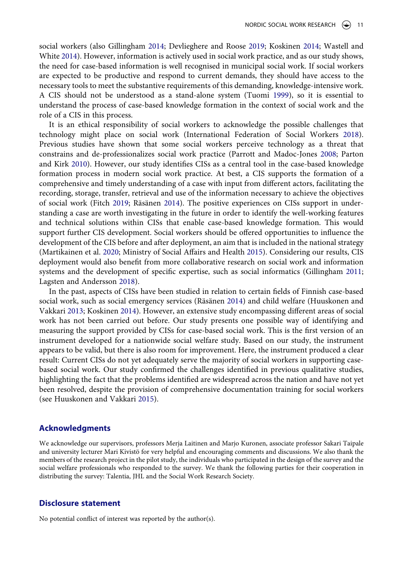social workers (also Gillingham [2014;](#page-13-9) Devlieghere and Roose [2019;](#page-13-10) Koskinen [2014;](#page-14-16) Wastell and White [2014](#page-15-6)). However, information is actively used in social work practice, and as our study shows, the need for case-based information is well recognised in municipal social work. If social workers are expected to be productive and respond to current demands, they should have access to the necessary tools to meet the substantive requirements of this demanding, knowledge-intensive work. A CIS should not be understood as a stand-alone system (Tuomi [1999\)](#page-15-5), so it is essential to understand the process of case-based knowledge formation in the context of social work and the role of a CIS in this process.

It is an ethical responsibility of social workers to acknowledge the possible challenges that technology might place on social work (International Federation of Social Workers [2018](#page-14-20)). Previous studies have shown that some social workers perceive technology as a threat that constrains and de-professionalizes social work practice (Parrott and Madoc-Jones [2008;](#page-14-18) Parton and Kirk [2010\)](#page-14-17). However, our study identifies CISs as a central tool in the case-based knowledge formation process in modern social work practice. At best, a CIS supports the formation of a comprehensive and timely understanding of a case with input from different actors, facilitating the recording, storage, transfer, retrieval and use of the information necessary to achieve the objectives of social work (Fitch [2019](#page-13-6); Räsänen [2014](#page-14-12)). The positive experiences on CISs support in understanding a case are worth investigating in the future in order to identify the well-working features and technical solutions within CISs that enable case-based knowledge formation. This would support further CIS development. Social workers should be offered opportunities to influence the development of the CIS before and after deployment, an aim that is included in the national strategy (Martikainen et al. [2020](#page-14-19); Ministry of Social Affairs and Health [2015\)](#page-14-2). Considering our results, CIS deployment would also benefit from more collaborative research on social work and information systems and the development of specific expertise, such as social informatics (Gillingham [2011;](#page-13-8) Lagsten and Andersson [2018](#page-14-15)).

In the past, aspects of CISs have been studied in relation to certain fields of Finnish case-based social work, such as social emergency services (Räsänen [2014](#page-14-12)) and child welfare (Huuskonen and Vakkari [2013;](#page-13-1) Koskinen [2014\)](#page-14-16). However, an extensive study encompassing different areas of social work has not been carried out before. Our study presents one possible way of identifying and measuring the support provided by CISs for case-based social work. This is the first version of an instrument developed for a nationwide social welfare study. Based on our study, the instrument appears to be valid, but there is also room for improvement. Here, the instrument produced a clear result: Current CISs do not yet adequately serve the majority of social workers in supporting casebased social work. Our study confirmed the challenges identified in previous qualitative studies, highlighting the fact that the problems identified are widespread across the nation and have not yet been resolved, despite the provision of comprehensive documentation training for social workers (see Huuskonen and Vakkari [2015\)](#page-13-7).

#### **Acknowledgments**

We acknowledge our supervisors, professors Merja Laitinen and Marjo Kuronen, associate professor Sakari Taipale and university lecturer Mari Kivistö for very helpful and encouraging comments and discussions. We also thank the members of the research project in the pilot study, the individuals who participated in the design of the survey and the social welfare professionals who responded to the survey. We thank the following parties for their cooperation in distributing the survey: Talentia, JHL and the Social Work Research Society.

#### **Disclosure statement**

No potential conflict of interest was reported by the author(s).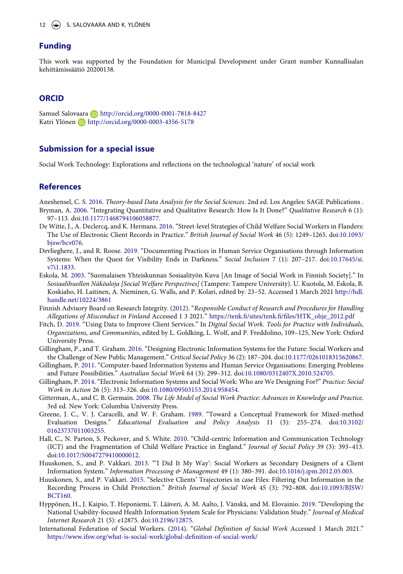#### **Funding**

This work was supported by the Foundation for Municipal Development under Grant number Kunnallisalan kehittämissäätiö 20200138.

### **ORCID**

Samuel Salovaara **http://orcid.org/0000-0001-7818-8427** Katri Ylönen **http://orcid.org/0000-0003-4356-5178** 

#### **Submission for a special issue**

Social Work Technology: Explorations and reflections on the technological 'nature' of social work

#### **References**

- <span id="page-13-15"></span><span id="page-13-14"></span>Aneshensel, C. S. [2016](#page-7-0). *Theory-based Data Analysis for the Social Sciences*. 2nd ed. Los Angeles: SAGE Publications . Bryman, A. [2006](#page-7-1). "Integrating Quantitative and Qualitative Research: How Is It Done?" *Qualitative Research* 6 (1):
- 97–113. doi:[10.1177/1468794106058877.](https://doi.org/10.1177/1468794106058877)
- <span id="page-13-0"></span>De Witte, J., A. Declercq, and K. Hermans. [2016](#page-3-0). "Street-level Strategies of Child Welfare Social Workers in Flanders: The Use of Electronic Client Records in Practice." *British Journal of Social Work* 46 (5): 1249–1265. doi:[10.1093/](https://doi.org/10.1093/bjsw/bcv076) bisw/bcv076.
- <span id="page-13-10"></span>Devlieghere, J., and R. Roose. [2019](#page-5-0). "Documenting Practices in Human Service Organisations through Information Systems: When the Quest for Visibility Ends in Darkness." *Social Inclusion* 7 (1): 207–217. doi:[10.17645/si.](https://doi.org/10.17645/si.v7i1.1833) [v7i1.1833.](https://doi.org/10.17645/si.v7i1.1833)
- <span id="page-13-5"></span>Eskola, M. [2003](#page-4-0). "Suomalaisen Yhteiskunnan Sosiaalityön Kuva [An Image of Social Work in Finnish Society]." In *Sosiaalihuollon Näköaloja [Social Welfare Perspectives]* (Tampere: Tampere University). U. Kuotola, M. Eskola, B. Koskiaho, H. Laitinen, A. Nieminen, G. Walls, and P. Kolari, edited by. 23–52. Accessed 1 March 2021 [http://hdl.](http://hdl.handle.net/10224/3861) [handle.net/10224/3861](http://hdl.handle.net/10224/3861)
- <span id="page-13-16"></span>Finnish Advisory Board on Research Integrity. [\(2012\)](#page-7-2). "*Responsible Conduct of Research and Procedures for Handling Allegations of Misconduct in Finland* Accessed 1 3 2021." [https://tenk.fi/sites/tenk.fi/files/HTK\\_ohje\\_2012.pdf](https://tenk.fi/sites/tenk.fi/files/HTK_ohje_2012.pdf)
- <span id="page-13-6"></span>Fitch, D. [2019.](#page-4-1) "Using Data to Improve Client Services." In *Digital Social Work. Tools for Practice with Individuals, Organizations, and Communities*, edited by L. Goldking, L. Wolf, and P. Freddolino, 109–125, New York: Oxford University Press.
- <span id="page-13-11"></span>Gillingham, P., and T. Graham. [2016](#page-5-1). "Designing Electronic Information Systems for the Future: Social Workers and the Challenge of New Public Management." *Critical Social Policy* 36 (2): 187–204. doi:[10.1177/0261018315620867](https://doi.org/10.1177/0261018315620867).
- <span id="page-13-8"></span>Gillingham, P. [2011.](#page-4-2) "Computer-based Information Systems and Human Service Organisations: Emerging Problems and Future Possibilities." *Australian Social Work* 64 (3): 299–312. doi:[10.1080/0312407X.2010.524705.](https://doi.org/10.1080/0312407X.2010.524705)
- <span id="page-13-9"></span>Gillingham, P. [2014](#page-5-2). "Electronic Information Systems and Social Work: Who are We Designing For?" *Practice: Social Work in Action* 26 (5): 313–326. doi:[10.1080/09503153.2014.958454](https://doi.org/10.1080/09503153.2014.958454).
- <span id="page-13-3"></span>Gitterman, A., and C. B. Germain. [2008.](#page-3-1) *The Life Model of Social Work Practice: Advances in Knowledge and Practice*. 3rd ed. New York: Columbia University Press.
- <span id="page-13-13"></span>Greene, J. C., V. J. Caracelli, and W. F. Graham. [1989.](#page-7-3) "Toward a Conceptual Framework for Mixed-method Evaluation Designs." *Educational Evaluation and Policy Analysis* 11 (3): 255–274. doi:[10.3102/](https://doi.org/10.3102/01623737011003255) [01623737011003255](https://doi.org/10.3102/01623737011003255).
- <span id="page-13-2"></span>Hall, C., N. Parton, S. Peckover, and S. White. [2010](#page-3-2). "Child-centric Information and Communication Technology (ICT) and the Fragmentation of Child Welfare Practice in England." *Journal of Social Policy* 39 (3): 393–413. doi:[10.1017/S0047279410000012.](https://doi.org/10.1017/S0047279410000012)
- <span id="page-13-1"></span>Huuskonen, S., and P. Vakkari. [2013](#page-3-0). "'I Did It My Way': Social Workers as Secondary Designers of a Client Information System." *Information Processing & Management* 49 (1): 380–391. doi:[10.1016/j.ipm.2012.05.003](https://doi.org/10.1016/j.ipm.2012.05.003).
- <span id="page-13-7"></span>Huuskonen, S., and P. Vakkari. [2015.](#page-4-3) "Selective Clients' Trajectories in case Files: Filtering Out Information in the Recording Process in Child Protection." *British Journal of Social Work* 45 (3): 792–808. doi:[10.1093/BJSW/](https://doi.org/10.1093/BJSW/BCT160) [BCT160](https://doi.org/10.1093/BJSW/BCT160).
- <span id="page-13-12"></span>Hyppönen, H., J. Kaipio, T. Heponiemi, T. Lääveri, A. M. Aalto, J. Vänskä, and M. Elovainio. [2019.](#page-6-1) "Developing the National Usability-focused Health Information System Scale for Physicians: Validation Study." *Journal of Medical Internet Research* 21 (5): e12875. doi:[10.2196/12875](https://doi.org/10.2196/12875).
- <span id="page-13-4"></span>International Federation of Social Workers. ([2014](#page-4-4)). "*Global Definition of Social Work* Accessed 1 March 2021." <https://www.ifsw.org/what-is-social-work/global-definition-of-social-work/>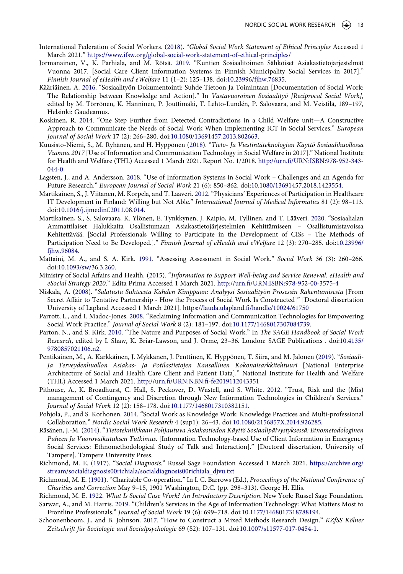- <span id="page-14-20"></span>International Federation of Social Workers. ([2018\)](#page-5-3). "*Global Social Work Statement of Ethical Principles* Accessed 1 March 2021." <https://www.ifsw.org/global-social-work-statement-of-ethical-principles/>
- <span id="page-14-0"></span>Jormanainen, V., K. Parhiala, and M. Rötsä. [2019](#page-2-1). "Kuntien Sosiaalitoimen Sähköiset Asiakastietojärjestelmät Vuonna 2017. [Social Care Client Information Systems in Finnish Municipality Social Services in 2017]." *Finnish Journal of eHealth and eWelfare* 11 (1–2): 125–138. doi:[10.23996/fjhw.76835.](https://doi.org/10.23996/fjhw.76835)
- <span id="page-14-10"></span>Kääriäinen, A. [2016.](#page-4-0) "Sosiaalityön Dokumentointi: Suhde Tietoon Ja Toimintaan [Documentation of Social Work: The Relationship between Knowledge and Action]." In *Vastavuoroinen Sosiaalityö [Reciprocal Social Work]*, edited by M. Törrönen, K. Hänninen, P. Jouttimäki, T. Lehto-Lundén, P. Salovaara, and M. Veistilä, 189–197, Helsinki: Gaudeamus.
- <span id="page-14-16"></span>Koskinen, R. [2014](#page-5-4). "One Step Further from Detected Contradictions in a Child Welfare unit—A Constructive Approach to Communicate the Needs of Social Work When Implementing ICT in Social Services." *European Journal of Social Work* 17 (2): 266–280. doi:[10.1080/13691457.2013.802663.](https://doi.org/10.1080/13691457.2013.802663)
- <span id="page-14-4"></span>Kuusisto-Niemi, S., M. Ryhänen, and H. Hyppönen [\(2018](#page-3-3)). "*Tieto- Ja Viestintäteknologian Käyttö Sosiaalihuollossa Vuonna 2017* [Use of Information and Communication Technology in Social Welfare in 2017]." National Institute for Health and Welfare (THL) Accessed 1 March 2021. Report No. 1/2018. [http://urn.fi/URN:ISBN:978-952-343-](http://urn.fi/URN:ISBN:978-952-343-044-0) [044-0](http://urn.fi/URN:ISBN:978-952-343-044-0)
- <span id="page-14-15"></span>Lagsten, J., and A. Andersson. [2018](#page-5-5). "Use of Information Systems in Social Work – Challenges and an Agenda for Future Research." *European Journal of Social Work* 21 (6): 850–862. doi:[10.1080/13691457.2018.1423554](https://doi.org/10.1080/13691457.2018.1423554).
- <span id="page-14-3"></span>Martikainen, S., J. Viitanen, M. Korpela, and T. Lääveri. [2012.](#page-3-4) "Physicians' Experiences of Participation in Healthcare IT Development in Finland: Willing but Not Able." *International Journal of Medical Informatics* 81 (2): 98–113. doi:[10.1016/j.ijmedinf.2011.08.014.](https://doi.org/10.1016/j.ijmedinf.2011.08.014)
- <span id="page-14-19"></span>Martikainen, S., S. Salovaara, K. Ylönen, E. Tynkkynen, J. Kaipio, M. Tyllinen, and T. Lääveri. [2020](#page-5-6). "Sosiaalialan Ammattilaiset Halukkaita Osallistumaan Asiakastietojärjestelmien Kehittämiseen – Osallistumistavoissa Kehitettävää. [Social Professionals Willing to Participate in the Development of CISs – The Methods of Participation Need to Be Developed.]." *Finnish Journal of eHealth and eWelfare* 12 (3): 270–285. doi:[10.23996/](https://doi.org/10.23996/fjhw.96084) [fjhw.96084](https://doi.org/10.23996/fjhw.96084).
- <span id="page-14-13"></span>Mattaini, M. A., and S. A. Kirk. [1991](#page-4-5). "Assessing Assessment in Social Work." *Social Work* 36 (3): 260–266. doi:[10.1093/sw/36.3.260](https://doi.org/10.1093/sw/36.3.260).
- <span id="page-14-2"></span>Ministry of Social Affairs and Health. ([2015\)](#page-3-5). "*Information to Support Well-being and Service Renewal. eHealth and eSocial Strategy 2020*." Edita Prima Accessed 1 March 2021. <http://urn.fi/URN:ISBN:978-952-00-3575-4>
- <span id="page-14-9"></span>Niskala, A. [\(2008](#page-4-6)). "*Salatusta Suhteesta Kahden Kimppaan: Analyysi Sosiaalityön Prosessin Rakentumisesta* [From Secret Affair to Tentative Partnership - How the Process of Social Work Is Constructed]" [Doctoral dissertation University of Lapland Accessed 1 March 2021]. <https://lauda.ulapland.fi/handle/10024/61750>
- <span id="page-14-18"></span>Parrott, L., and I. Madoc-Jones. [2008.](#page-5-7) "Reclaiming Information and Communication Technologies for Empowering Social Work Practice." *Journal of Social Work* 8 (2): 181–197. doi:[10.1177/1468017307084739](https://doi.org/10.1177/1468017307084739).
- <span id="page-14-17"></span>Parton, N., and S. Kirk. [2010.](#page-5-8) "The Nature and Purposes of Social Work." In *The SAGE Handbook of Social Work Research*, edited by I. Shaw, K. Briar-Lawson, and J. Orme, 23–36. London: SAGE Publications . doi:[10.4135/](https://doi.org/10.4135/9780857021106.n2) [9780857021106.n2.](https://doi.org/10.4135/9780857021106.n2)
- <span id="page-14-1"></span>Pentikäinen, M., A. Kärkkäinen, J. Mykkänen, J. Penttinen, K. Hyppönen, T. Siira, and M. Jalonen ([2019](#page-2-2)). "*Sosiaali-Ja Terveydenhuollon Asiakas- Ja Potilastietojen Kansallinen Kokonaisarkkitehtuuri* [National Enterprise Architecture of Social and Health Care Client and Patient Data]." National Institute for Health and Welfare (THL) Accessed 1 March 2021. <http://urn.fi/URN:NBN:fi-fe2019112043351>
- <span id="page-14-14"></span>Pithouse, A., K. Broadhurst, C. Hall, S. Peckover, D. Wastell, and S. White. [2012](#page-4-2). "Trust, Risk and the (Mis) management of Contingency and Discretion through New Information Technologies in Children's Services." *Journal of Social Work* 12 (2): 158–178. doi:[10.1177/1468017310382151.](https://doi.org/10.1177/1468017310382151)
- <span id="page-14-11"></span>Pohjola, P., and S. Korhonen. [2014.](#page-4-0) "Social Work as Knowledge Work: Knowledge Practices and Multi-professional Collaboration." *Nordic Social Work Research* 4 (sup1): 26–43. doi:[10.1080/2156857X.2014.926285](https://doi.org/10.1080/2156857X.2014.926285).
- <span id="page-14-12"></span>Räsänen, J.-M. ([2014\)](#page-4-7). "*Tietotekniikkaan Pohjautuva Asiakastiedon Käyttö Sosiaalipäivystyksessä: Etnometodologinen Puheen Ja Vuorovaikutuksen Tutkimus*. [Information Technology-based Use of Client Information in Emergency Social Services: Ethnomethodological Study of Talk and Interaction]." [Doctoral dissertation, University of Tampere]. Tampere University Press.
- <span id="page-14-8"></span>Richmond, M. E. [\(1917\)](#page-4-8). "*Social Diagnosis*." Russel Sage Foundation Accessed 1 March 2021. [https://archive.org/](https://archive.org/stream/socialdiagnosis00richiala/socialdiagnosis00richiala_djvu.txt) [stream/socialdiagnosis00richiala/socialdiagnosis00richiala\\_djvu.txt](https://archive.org/stream/socialdiagnosis00richiala/socialdiagnosis00richiala_djvu.txt)
- <span id="page-14-7"></span>Richmond, M. E. [\(1901](#page-3-6)). "Charitable Co-operation." In I. C. Barrows (Ed.), *Proceedings of the National Conference of Charities and Correction* May 9–15, 1901 Washington, D.C. (pp. 298–313). George H. Ellis.
- <span id="page-14-6"></span><span id="page-14-5"></span>Richmond, M. E. [1922](#page-3-2). *What Is Social Case Work? An Introductory Description*. New York: Russel Sage Foundation. Sarwar, A., and M. Harris. [2019](#page-3-0). "Children's Services in the Age of Information Technology: What Matters Most to Frontline Professionals." *Journal of Social Work* 19 (6): 699–718. doi:[10.1177/1468017318788194.](https://doi.org/10.1177/1468017318788194)
- <span id="page-14-21"></span>Schoonenboom, J., and B. Johnson. [2017](#page-7-4). "How to Construct a Mixed Methods Research Design." *KZfSS Kölner Zeitschrift für Soziologie und Sozialpsychologie* 69 (S2): 107–131. doi:[10.1007/s11577-017-0454-1](https://doi.org/10.1007/s11577-017-0454-1).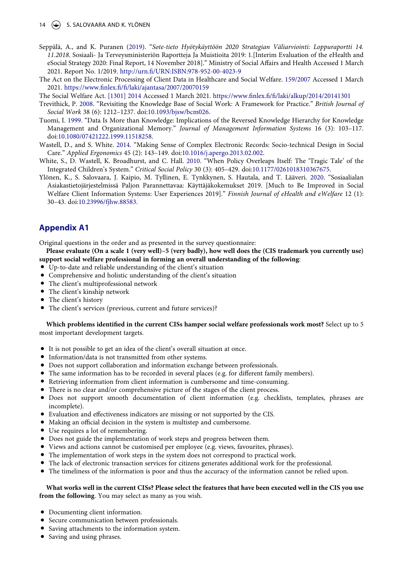#### 14  $\left(\frac{1}{2}\right)$  S. SALOVAARA AND K. YLÖNEN

- <span id="page-15-2"></span>Seppälä, A., and K. Puranen ([2019](#page-3-7)). "*Sote-tieto Hyötykäyttöön 2020 Strategian Väliarviointi: Loppuraportti 14. 11.2018*. Sosiaali- Ja Terveysministeriön Raportteja Ja Muistioita 2019: 1.[Interim Evaluation of the eHealth and eSocial Strategy 2020: Final Report, 14 November 2018]." Ministry of Social Affairs and Health Accessed 1 March 2021. Report No. 1/2019. <http://urn.fi/URN:ISBN:978-952-00-4023-9>
- <span id="page-15-0"></span>The Act on the Electronic Processing of Client Data in Healthcare and Social Welfare. [159/2007](#page-2-3) Accessed 1 March 2021. <https://www.finlex.fi/fi/laki/ajantasa/2007/20070159>
- <span id="page-15-3"></span>The Social Welfare Act. [\[1301\] 2014](#page-4-9) Accessed 1 March 2021. <https://www.finlex.fi/fi/laki/alkup/2014/20141301>
- <span id="page-15-4"></span>Trevithick, P. [2008.](#page-4-10) "Revisiting the Knowledge Base of Social Work: A Framework for Practice." *British Journal of Social Work* 38 (6): 1212–1237. doi:[10.1093/bjsw/bcm026.](https://doi.org/10.1093/bjsw/bcm026)
- <span id="page-15-5"></span>Tuomi, I. [1999](#page-4-11). "Data Is More than Knowledge: Implications of the Reversed Knowledge Hierarchy for Knowledge Management and Organizational Memory." *Journal of Management Information Systems* 16 (3): 103–117. doi:[10.1080/07421222.1999.11518258.](https://doi.org/10.1080/07421222.1999.11518258)
- <span id="page-15-6"></span>Wastell, D., and S. White. [2014.](#page-5-9) "Making Sense of Complex Electronic Records: Socio-technical Design in Social Care." *Applied Ergonomics* 45 (2): 143–149. doi:[10.1016/j.apergo.2013.02.002](https://doi.org/10.1016/j.apergo.2013.02.002).
- <span id="page-15-7"></span>White, S., D. Wastell, K. Broadhurst, and C. Hall. [2010.](#page-5-8) "When Policy Overleaps Itself: The 'Tragic Tale' of the Integrated Children's System." *Critical Social Policy* 30 (3): 405–429. doi:[10.1177/0261018310367675.](https://doi.org/10.1177/0261018310367675)
- <span id="page-15-1"></span>Ylönen, K., S. Salovaara, J. Kaipio, M. Tyllinen, E. Tynkkynen, S. Hautala, and T. Lääveri. [2020](#page-3-8). "Sosiaalialan Asiakastietojärjestelmissä Paljon Parannettavaa: Käyttäjäkokemukset 2019. [Much to Be Improved in Social Welfare Client Information Systems: User Experiences 2019]." *Finnish Journal of eHealth and eWelfare* 12 (1): 30–43. doi:[10.23996/fjhw.88583.](https://doi.org/10.23996/fjhw.88583)

# **Appendix A1**

Original questions in the order and as presented in the survey questionnaire:

**Please evaluate (On a scale 1 (very well)–5 (very badly), how well does the (CIS trademark you currently use) support social welfare professional in forming an overall understanding of the following**:

- Up-to-date and reliable understanding of the client's situation
- Comprehensive and holistic understanding of the client's situation
- The client's multiprofessional network
- The client's kinship network
- The client's history
- The client's services (previous, current and future services)?

#### **Which problems identified in the current CISs hamper social welfare professionals work most?** Select up to 5 most important development targets.

- It is not possible to get an idea of the client's overall situation at once.
- Information/data is not transmitted from other systems.
- Does not support collaboration and information exchange between professionals.
- The same information has to be recorded in several places (e.g. for different family members).
- Retrieving information from client information is cumbersome and time-consuming.
- There is no clear and/or comprehensive picture of the stages of the client process.
- Does not support smooth documentation of client information (e.g. checklists, templates, phrases are incomplete).
- Evaluation and effectiveness indicators are missing or not supported by the CIS.
- Making an official decision in the system is multistep and cumbersome.
- Use requires a lot of remembering.
- Does not guide the implementation of work steps and progress between them.
- Views and actions cannot be customised per employee (e.g. views, favourites, phrases).
- The implementation of work steps in the system does not correspond to practical work.
- The lack of electronic transaction services for citizens generates additional work for the professional.
- The timeliness of the information is poor and thus the accuracy of the information cannot be relied upon.

#### **What works well in the current CISs? Please select the features that have been executed well in the CIS you use from the following**. You may select as many as you wish.

- Documenting client information.
- Secure communication between professionals.
- Saving attachments to the information system.
- Saving and using phrases.